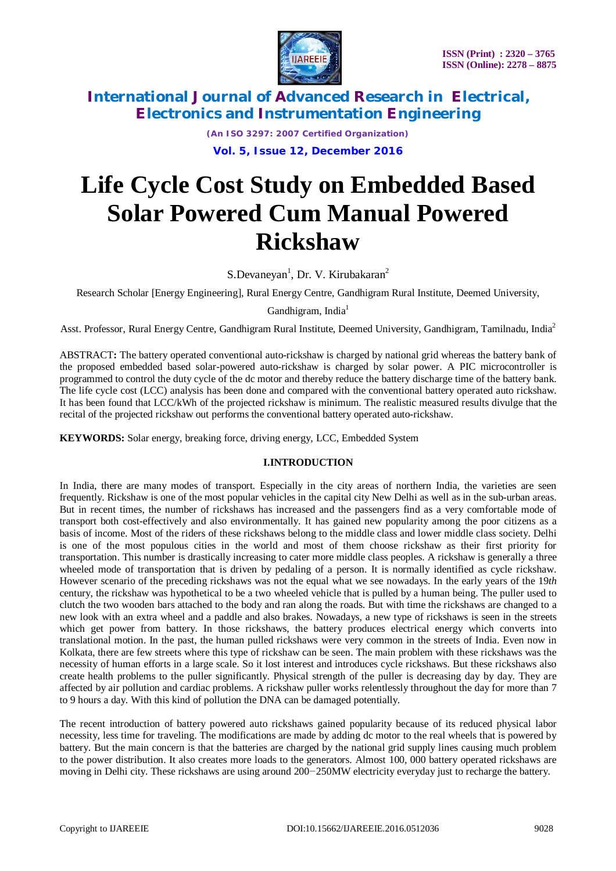

*(An ISO 3297: 2007 Certified Organization)* **Vol. 5, Issue 12, December 2016**

# **Life Cycle Cost Study on Embedded Based Solar Powered Cum Manual Powered Rickshaw**

S.Devaneyan<sup>1</sup>, Dr. V. Kirubakaran<sup>2</sup>

Research Scholar [Energy Engineering], Rural Energy Centre, Gandhigram Rural Institute, Deemed University,

Gandhigram, India<sup>1</sup>

Asst. Professor, Rural Energy Centre, Gandhigram Rural Institute, Deemed University, Gandhigram, Tamilnadu, India<sup>2</sup>

ABSTRACT**:** The battery operated conventional auto-rickshaw is charged by national grid whereas the battery bank of the proposed embedded based solar-powered auto-rickshaw is charged by solar power. A PIC microcontroller is programmed to control the duty cycle of the dc motor and thereby reduce the battery discharge time of the battery bank. The life cycle cost (LCC) analysis has been done and compared with the conventional battery operated auto rickshaw. It has been found that LCC/kWh of the projected rickshaw is minimum. The realistic measured results divulge that the recital of the projected rickshaw out performs the conventional battery operated auto-rickshaw.

**KEYWORDS:** Solar energy, breaking force, driving energy, LCC, Embedded System

## **I.INTRODUCTION**

In India, there are many modes of transport. Especially in the city areas of northern India, the varieties are seen frequently. Rickshaw is one of the most popular vehicles in the capital city New Delhi as well as in the sub-urban areas. But in recent times, the number of rickshaws has increased and the passengers find as a very comfortable mode of transport both cost-effectively and also environmentally. It has gained new popularity among the poor citizens as a basis of income. Most of the riders of these rickshaws belong to the middle class and lower middle class society. Delhi is one of the most populous cities in the world and most of them choose rickshaw as their first priority for transportation. This number is drastically increasing to cater more middle class peoples. A rickshaw is generally a three wheeled mode of transportation that is driven by pedaling of a person. It is normally identified as cycle rickshaw. However scenario of the preceding rickshaws was not the equal what we see nowadays. In the early years of the 19*th*  century, the rickshaw was hypothetical to be a two wheeled vehicle that is pulled by a human being. The puller used to clutch the two wooden bars attached to the body and ran along the roads. But with time the rickshaws are changed to a new look with an extra wheel and a paddle and also brakes. Nowadays, a new type of rickshaws is seen in the streets which get power from battery. In those rickshaws, the battery produces electrical energy which converts into translational motion. In the past, the human pulled rickshaws were very common in the streets of India. Even now in Kolkata, there are few streets where this type of rickshaw can be seen. The main problem with these rickshaws was the necessity of human efforts in a large scale. So it lost interest and introduces cycle rickshaws. But these rickshaws also create health problems to the puller significantly. Physical strength of the puller is decreasing day by day. They are affected by air pollution and cardiac problems. A rickshaw puller works relentlessly throughout the day for more than 7 to 9 hours a day. With this kind of pollution the DNA can be damaged potentially.

The recent introduction of battery powered auto rickshaws gained popularity because of its reduced physical labor necessity, less time for traveling. The modifications are made by adding dc motor to the real wheels that is powered by battery. But the main concern is that the batteries are charged by the national grid supply lines causing much problem to the power distribution. It also creates more loads to the generators. Almost 100*,* 000 battery operated rickshaws are moving in Delhi city. These rickshaws are using around 200*−*250MW electricity everyday just to recharge the battery.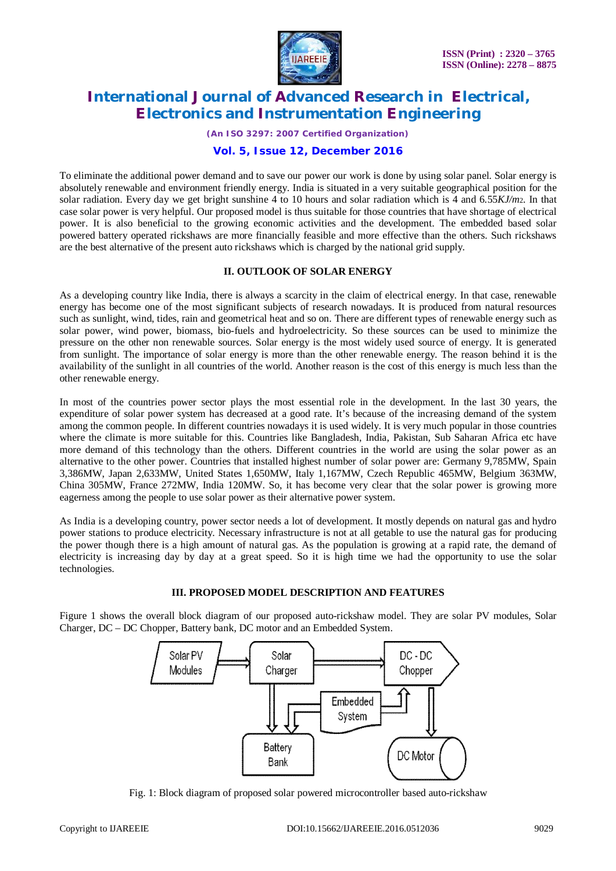

*(An ISO 3297: 2007 Certified Organization)*

## **Vol. 5, Issue 12, December 2016**

To eliminate the additional power demand and to save our power our work is done by using solar panel. Solar energy is absolutely renewable and environment friendly energy. India is situated in a very suitable geographical position for the solar radiation. Every day we get bright sunshine 4 to 10 hours and solar radiation which is 4 and 6*.*55*KJ/m*2. In that case solar power is very helpful. Our proposed model is thus suitable for those countries that have shortage of electrical power. It is also beneficial to the growing economic activities and the development. The embedded based solar powered battery operated rickshaws are more financially feasible and more effective than the others. Such rickshaws are the best alternative of the present auto rickshaws which is charged by the national grid supply.

#### **II. OUTLOOK OF SOLAR ENERGY**

As a developing country like India, there is always a scarcity in the claim of electrical energy. In that case, renewable energy has become one of the most significant subjects of research nowadays. It is produced from natural resources such as sunlight, wind, tides, rain and geometrical heat and so on. There are different types of renewable energy such as solar power, wind power, biomass, bio-fuels and hydroelectricity. So these sources can be used to minimize the pressure on the other non renewable sources. Solar energy is the most widely used source of energy. It is generated from sunlight. The importance of solar energy is more than the other renewable energy. The reason behind it is the availability of the sunlight in all countries of the world. Another reason is the cost of this energy is much less than the other renewable energy.

In most of the countries power sector plays the most essential role in the development. In the last 30 years, the expenditure of solar power system has decreased at a good rate. It's because of the increasing demand of the system among the common people. In different countries nowadays it is used widely. It is very much popular in those countries where the climate is more suitable for this. Countries like Bangladesh, India, Pakistan, Sub Saharan Africa etc have more demand of this technology than the others. Different countries in the world are using the solar power as an alternative to the other power. Countries that installed highest number of solar power are: Germany 9,785MW, Spain 3,386MW, Japan 2,633MW, United States 1,650MW, Italy 1,167MW, Czech Republic 465MW, Belgium 363MW, China 305MW, France 272MW, India 120MW. So, it has become very clear that the solar power is growing more eagerness among the people to use solar power as their alternative power system.

As India is a developing country, power sector needs a lot of development. It mostly depends on natural gas and hydro power stations to produce electricity. Necessary infrastructure is not at all getable to use the natural gas for producing the power though there is a high amount of natural gas. As the population is growing at a rapid rate, the demand of electricity is increasing day by day at a great speed. So it is high time we had the opportunity to use the solar technologies.

#### **III. PROPOSED MODEL DESCRIPTION AND FEATURES**

Figure 1 shows the overall block diagram of our proposed auto-rickshaw model. They are solar PV modules, Solar Charger, DC – DC Chopper, Battery bank, DC motor and an Embedded System.



Fig. 1: Block diagram of proposed solar powered microcontroller based auto-rickshaw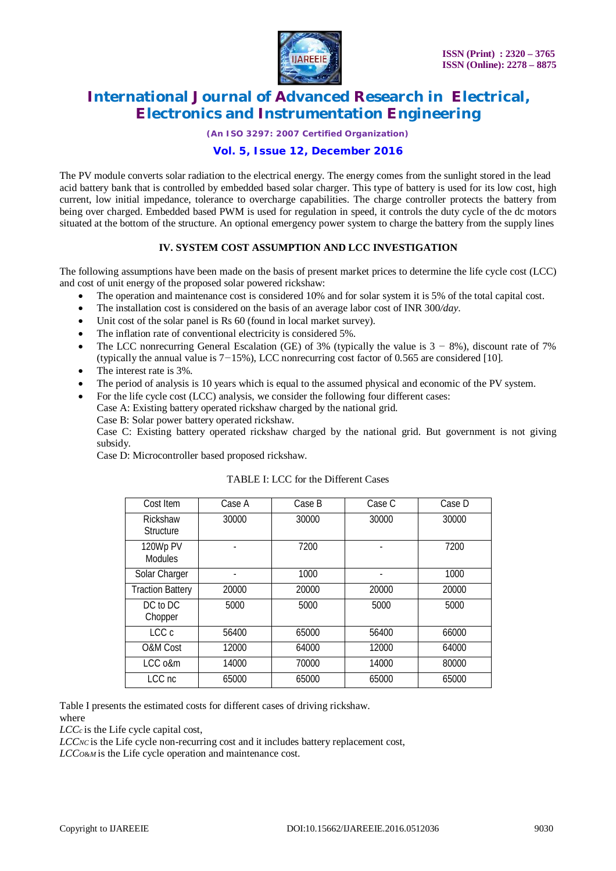

*(An ISO 3297: 2007 Certified Organization)*

## **Vol. 5, Issue 12, December 2016**

The PV module converts solar radiation to the electrical energy. The energy comes from the sunlight stored in the lead acid battery bank that is controlled by embedded based solar charger. This type of battery is used for its low cost, high current, low initial impedance, tolerance to overcharge capabilities. The charge controller protects the battery from being over charged. Embedded based PWM is used for regulation in speed, it controls the duty cycle of the dc motors situated at the bottom of the structure. An optional emergency power system to charge the battery from the supply lines

## **IV. SYSTEM COST ASSUMPTION AND LCC INVESTIGATION**

The following assumptions have been made on the basis of present market prices to determine the life cycle cost (LCC) and cost of unit energy of the proposed solar powered rickshaw:

- The operation and maintenance cost is considered 10% and for solar system it is 5% of the total capital cost.
- The installation cost is considered on the basis of an average labor cost of INR 300*/day*.
- Unit cost of the solar panel is Rs 60 (found in local market survey).
- The inflation rate of conventional electricity is considered 5%.
- The LCC nonrecurring General Escalation (GE) of 3% (typically the value is 3 *−* 8%), discount rate of 7% (typically the annual value is 7*−*15%), LCC nonrecurring cost factor of 0*.*565 are considered [10].
- The interest rate is 3%.
- The period of analysis is 10 years which is equal to the assumed physical and economic of the PV system.
- For the life cycle cost (LCC) analysis, we consider the following four different cases: Case A: Existing battery operated rickshaw charged by the national grid.

Case B: Solar power battery operated rickshaw.

Case C: Existing battery operated rickshaw charged by the national grid. But government is not giving subsidy.

Case D: Microcontroller based proposed rickshaw.

| Cost Item                    | Case A | Case B | Case C | Case D |
|------------------------------|--------|--------|--------|--------|
| Rickshaw<br><b>Structure</b> | 30000  | 30000  | 30000  | 30000  |
| 120Wp PV<br><b>Modules</b>   |        | 7200   |        | 7200   |
| Solar Charger                |        | 1000   |        | 1000   |
| <b>Traction Battery</b>      | 20000  | 20000  | 20000  | 20000  |
| DC to DC<br>Chopper          | 5000   | 5000   | 5000   | 5000   |
| LCC c                        | 56400  | 65000  | 56400  | 66000  |
| O&M Cost                     | 12000  | 64000  | 12000  | 64000  |
| LCC <sub>0&amp;m</sub>       | 14000  | 70000  | 14000  | 80000  |
| LCC nc                       | 65000  | 65000  | 65000  | 65000  |

#### TABLE I: LCC for the Different Cases

Table I presents the estimated costs for different cases of driving rickshaw.

where

*LCCc* is the Life cycle capital cost,

*LCC<sub>NC</sub>* is the Life cycle non-recurring cost and it includes battery replacement cost,

*LCC<sup>O</sup>*&*<sup>M</sup>*is the Life cycle operation and maintenance cost.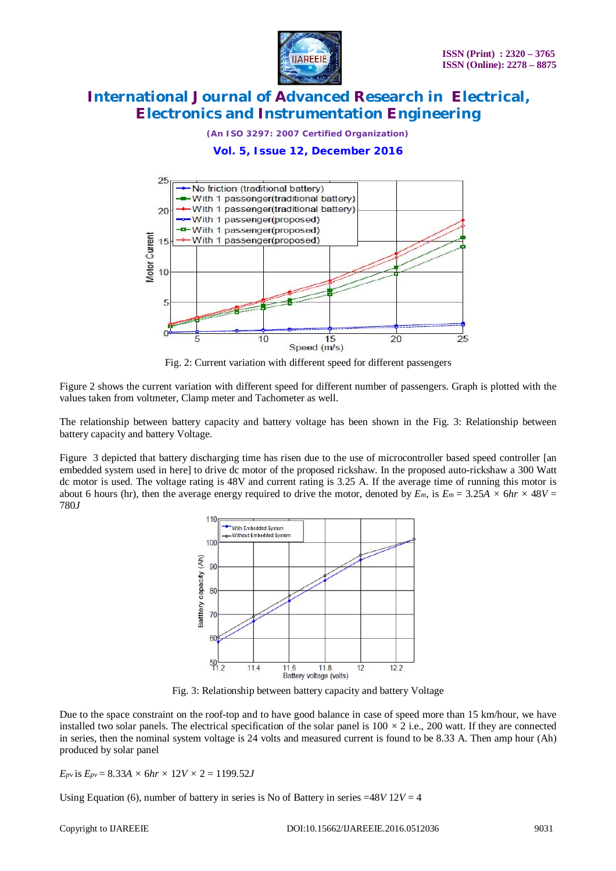

*(An ISO 3297: 2007 Certified Organization)*

**Vol. 5, Issue 12, December 2016**



Fig. 2: Current variation with different speed for different passengers

Figure 2 shows the current variation with different speed for different number of passengers. Graph is plotted with the values taken from voltmeter, Clamp meter and Tachometer as well.

The relationship between battery capacity and battery voltage has been shown in the Fig. 3: Relationship between battery capacity and battery Voltage.

Figure 3 depicted that battery discharging time has risen due to the use of microcontroller based speed controller [an embedded system used in here] to drive dc motor of the proposed rickshaw. In the proposed auto-rickshaw a 300 Watt dc motor is used. The voltage rating is 48V and current rating is 3*.*25 A. If the average time of running this motor is about 6 hours (hr), then the average energy required to drive the motor, denoted by  $E_m$ , is  $E_m = 3.25A \times 6hr \times 48V =$ 780*J* 



Fig. 3: Relationship between battery capacity and battery Voltage

Due to the space constraint on the roof-top and to have good balance in case of speed more than 15 km/hour, we have installed two solar panels. The electrical specification of the solar panel is  $100 \times 2$  i.e., 200 watt. If they are connected in series, then the nominal system voltage is 24 volts and measured current is found to be 8*.*33 A. Then amp hour (Ah) produced by solar panel

*E*<sub>*pv*</sub> is  $E_{p} = 8.33A \times 6hr \times 12V \times 2 = 1199.52J$ 

Using Equation (6), number of battery in series is No of Battery in series =48*V* 12*V* = 4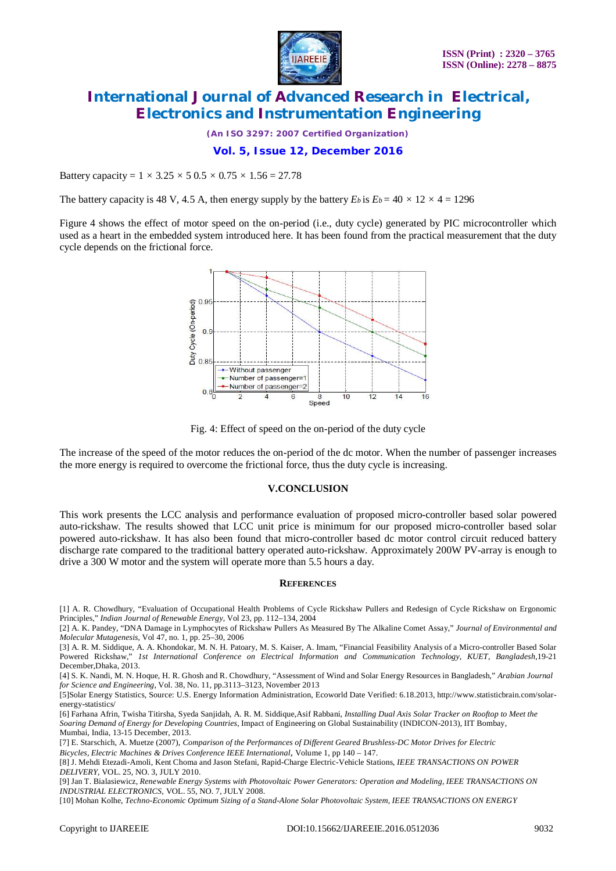

*(An ISO 3297: 2007 Certified Organization)*

#### **Vol. 5, Issue 12, December 2016**

Battery capacity =  $1 \times 3.25 \times 5 \times 0.5 \times 0.75 \times 1.56 = 27.78$ 

The battery capacity is 48 V, 4.5 A, then energy supply by the battery  $E_b$  is  $E_b = 40 \times 12 \times 4 = 1296$ 

Figure 4 shows the effect of motor speed on the on-period (i.e., duty cycle) generated by PIC microcontroller which used as a heart in the embedded system introduced here. It has been found from the practical measurement that the duty cycle depends on the frictional force.



Fig. 4: Effect of speed on the on-period of the duty cycle

The increase of the speed of the motor reduces the on-period of the dc motor. When the number of passenger increases the more energy is required to overcome the frictional force, thus the duty cycle is increasing.

#### **V.CONCLUSION**

This work presents the LCC analysis and performance evaluation of proposed micro-controller based solar powered auto-rickshaw. The results showed that LCC unit price is minimum for our proposed micro-controller based solar powered auto-rickshaw. It has also been found that micro-controller based dc motor control circuit reduced battery discharge rate compared to the traditional battery operated auto-rickshaw. Approximately 200W PV-array is enough to drive a 300 W motor and the system will operate more than 5*.*5 hours a day.

#### **REFERENCES**

[1] A. R. Chowdhury, "Evaluation of Occupational Health Problems of Cycle Rickshaw Pullers and Redesign of Cycle Rickshaw on Ergonomic Principles," *Indian Journal of Renewable Energy*, Vol 23, pp. 112–134, 2004

[2] A. K. Pandey, "DNA Damage in Lymphocytes of Rickshaw Pullers As Measured By The Alkaline Comet Assay," *Journal of Environmental and Molecular Mutagenesis*, Vol 47, no. 1, pp. 25–30, 2006

[3] A. R. M. Siddique, A. A. Khondokar, M. N. H. Patoary, M. S. Kaiser, A. Imam, "Financial Feasibility Analysis of a Micro-controller Based Solar Powered Rickshaw," *1st International Conference on Electrical Information and Communication Technology, KUET, Bangladesh*,19-21 December,Dhaka, 2013.

[4] S. K. Nandi, M. N. Hoque, H. R. Ghosh and R. Chowdhury, "Assessment of Wind and Solar Energy Resources in Bangladesh," *Arabian Journal for Science and Engineering*, Vol. 38, No. 11, pp.3113–3123, November 2013

[5]Solar Energy Statistics, Source: U.S. Energy Information Administration, Ecoworld Date Verified: 6.18.2013, [http://www.statisticbrain.com/solar](http://www.statisticbrain.com/solar-)energy-statistics/

[6] Farhana Afrin, Twisha Titirsha, Syeda Sanjidah, A. R. M. Siddique,Asif Rabbani, *Installing Dual Axis Solar Tracker on Rooftop to Meet the Soaring Demand of Energy for Developing Countries*, Impact of Engineering on Global Sustainability (INDICON-2013), IIT Bombay, Mumbai, India, 13-15 December, 2013.

[7] E. Starschich, A. Muetze (2007), *Comparison of the Performances of Different Geared Brushless-DC Motor Drives for Electric* 

*Bicycles, Electric Machines & Drives Conference IEEE International*, Volume 1, pp 140 – 147.

[8] J. Mehdi Etezadi-Amoli, Kent Choma and Jason Stefani, Rapid-Charge Electric-Vehicle Stations, *IEEE TRANSACTIONS ON POWER DELIVERY*, VOL. 25, NO. 3, JULY 2010.

[9] Jan T. Bialasiewicz*, Renewable Energy Systems with Photovoltaic Power Generators: Operation and Modeling, IEEE TRANSACTIONS ON INDUSTRIAL ELECTRONICS,* VOL. 55, NO. 7, JULY 2008.

[10] Mohan Kolhe, *Techno-Economic Optimum Sizing of a Stand-Alone Solar Photovoltaic System, IEEE TRANSACTIONS ON ENERGY*